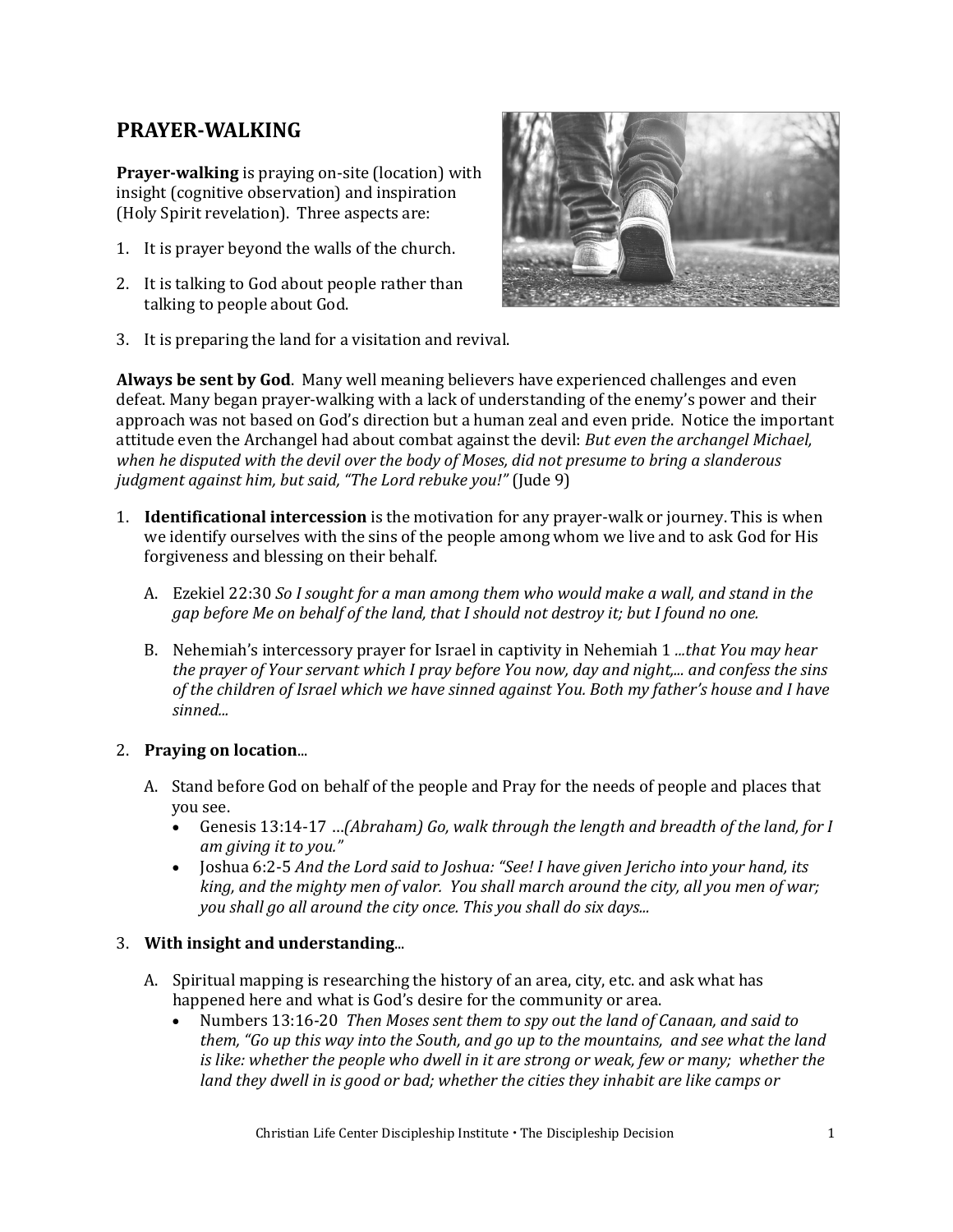# **PRAYER-WALKING**

**Prayer-walking** is praying on-site (location) with insight (cognitive observation) and inspiration (Holy Spirit revelation). Three aspects are:

- 1. It is prayer beyond the walls of the church.
- 2. It is talking to God about people rather than talking to people about God.



3. It is preparing the land for a visitation and revival.

**Always be sent by God**. Many well meaning believers have experienced challenges and even defeat. Many began prayer-walking with a lack of understanding of the enemy's power and their approach was not based on God's direction but a human zeal and even pride. Notice the important attitude even the Archangel had about combat against the devil: *But even the archangel Michael, when he disputed with the devil over the body of Moses, did not presume to bring a slanderous judgment against him, but said, "The Lord rebuke you!"* (Jude 9)

- 1. **Identificational intercession** is the motivation for any prayer-walk or journey. This is when we identify ourselves with the sins of the people among whom we live and to ask God for His forgiveness and blessing on their behalf.
	- A. Ezekiel 22:30 *So I sought for a man among them who would make a wall, and stand in the gap before Me on behalf of the land, that I should not destroy it; but I found no one.*
	- B. Nehemiah's intercessory prayer for Israel in captivity in Nehemiah 1 *...that You may hear the prayer of Your servant which I pray before You now, day and night,... and confess the sins of the children of Israel which we have sinned against You. Both my father's house and I have sinned...*

## 2. **Praying on location**...

- A. Stand before God on behalf of the people and Pray for the needs of people and places that you see.
	- Genesis 13:14-17 …*(Abraham) Go, walk through the length and breadth of the land, for I am giving it to you."*
	- Joshua 6:2-5 *And the Lord said to Joshua: "See! I have given Jericho into your hand, its king, and the mighty men of valor. You shall march around the city, all you men of war; you shall go all around the city once. This you shall do six days...*

### 3. **With insight and understanding**...

- A. Spiritual mapping is researching the history of an area, city, etc. and ask what has happened here and what is God's desire for the community or area.
	- Numbers 13:16-20 *Then Moses sent them to spy out the land of Canaan, and said to them, "Go up this way into the South, and go up to the mountains, and see what the land*  is like: whether the people who dwell in it are strong or weak, few or many; whether the *land they dwell in is good or bad; whether the cities they inhabit are like camps or*